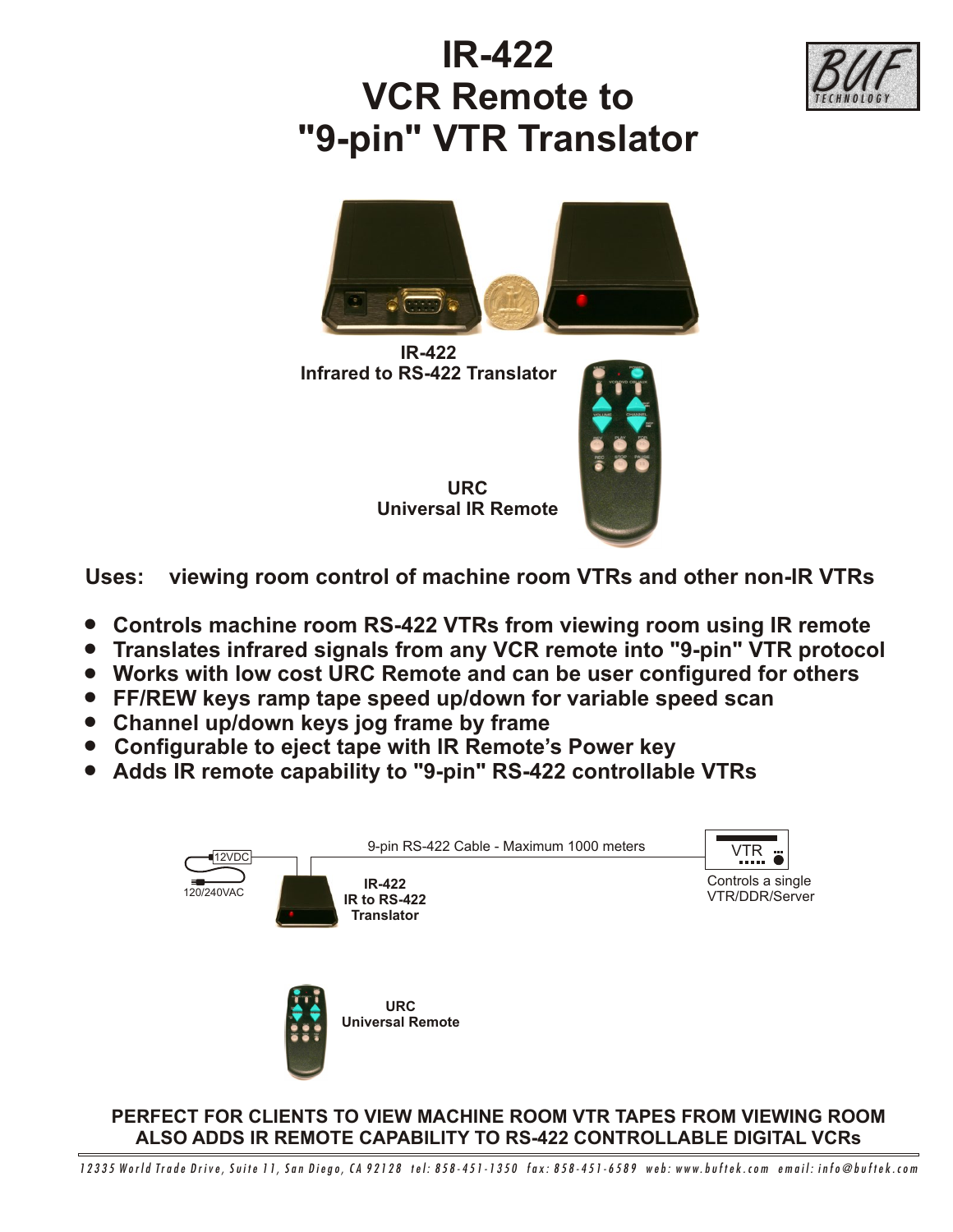

## **IR-422 VCR Remote to "9-pin" VTR Translator**



**IR-422 Infrared to RS-422 Translator**



**URC Universal IR Remote**

**Uses: viewing room control of machine room VTRs and other non-IR VTRs**

- ! **Controls machine room RS-422 VTRs from viewing room using IR remote**
- ! **Translates infrared signals from any VCR remote into "9-pin" VTR protocol**
- ! **Works with low cost URC Remote and can be user configured for others**
- ! **FF/REW keys ramp tape speed up/down for variable speed scan**
- ! **Channel up/down keys jog frame by frame**
- ! **Configurable to eject tape with IR Remote's Power key**
- ! **Adds IR remote capability to "9-pin" RS-422 controllable VTRs**



**PERFECT FOR CLIENTS TO VIEW MACHINE ROOM VTR TAPES FROM VIEWING ROOM ALSO ADDS IR REMOTE CAPABILITY TO RS-422 CONTROLLABLE DIGITAL VCRs**